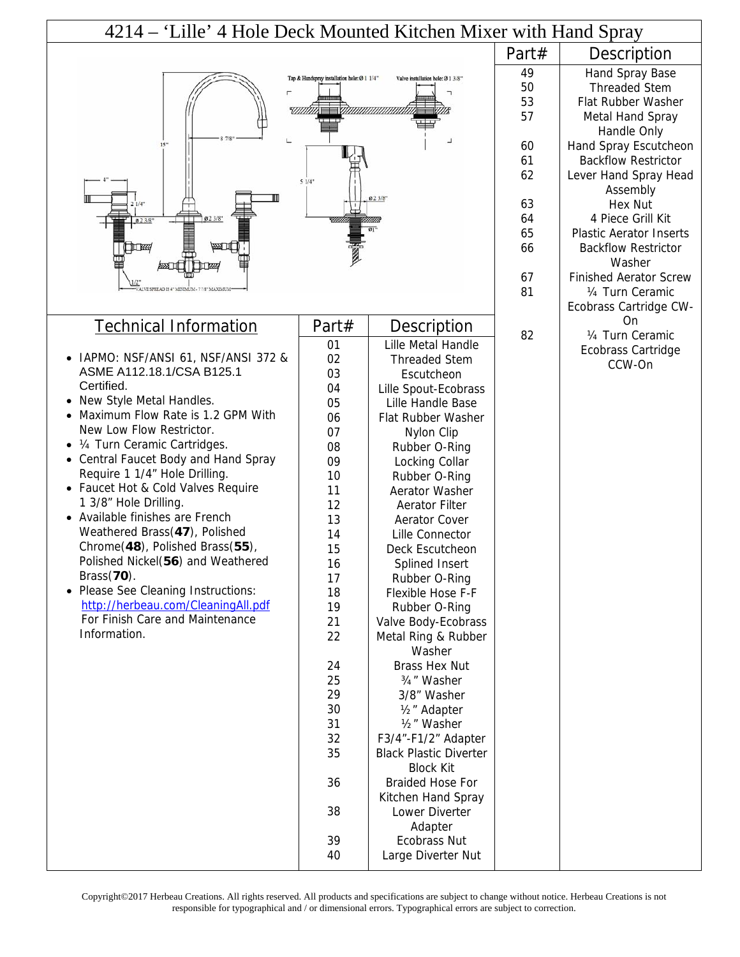| 4214 – 'Lille' 4 Hole Deck Mounted Kitchen Mixer with Hand Spray |                                             |                                                   |       |                                                     |
|------------------------------------------------------------------|---------------------------------------------|---------------------------------------------------|-------|-----------------------------------------------------|
|                                                                  |                                             |                                                   | Part# | Description                                         |
|                                                                  | Tap & Handspray installation hole: Ø 1 1/4" | Valve installation hole: Ø 1 3/8'                 | 49    | Hand Spray Base                                     |
|                                                                  |                                             |                                                   | 50    | <b>Threaded Stem</b>                                |
|                                                                  |                                             |                                                   | 53    | Flat Rubber Washer                                  |
|                                                                  |                                             |                                                   | 57    | <b>Metal Hand Spray</b>                             |
| $15 -$                                                           |                                             |                                                   | 60    | Handle Only                                         |
|                                                                  |                                             |                                                   | 61    | Hand Spray Escutcheon<br><b>Backflow Restrictor</b> |
|                                                                  |                                             |                                                   | 62    | Lever Hand Spray Head                               |
| 51/4"                                                            |                                             |                                                   |       | Assembly                                            |
| 023/8"<br>1/4"                                                   |                                             |                                                   | 63    | <b>Hex Nut</b>                                      |
| 023/8<br>023/8                                                   |                                             |                                                   | 64    | 4 Piece Grill Kit                                   |
|                                                                  |                                             |                                                   | 65    | <b>Plastic Aerator Inserts</b>                      |
| TITKK                                                            |                                             |                                                   | 66    | <b>Backflow Restrictor</b>                          |
|                                                                  |                                             |                                                   |       | Washer                                              |
|                                                                  |                                             |                                                   | 67    | <b>Finished Aerator Screw</b>                       |
|                                                                  |                                             |                                                   | 81    | 1/4 Turn Ceramic                                    |
|                                                                  |                                             |                                                   |       | Ecobrass Cartridge CW-                              |
| <b>Technical Information</b>                                     | Part#                                       | Description                                       | 82    | On<br>1/4 Turn Ceramic                              |
|                                                                  | 01                                          | Lille Metal Handle                                |       | Ecobrass Cartridge                                  |
| • IAPMO: NSF/ANSI 61, NSF/ANSI 372 &                             | 02                                          | <b>Threaded Stem</b>                              |       | CCW-On                                              |
| ASME A112.18.1/CSA B125.1<br>Certified.                          | 03                                          | Escutcheon                                        |       |                                                     |
| • New Style Metal Handles.                                       | 04                                          | Lille Spout-Ecobrass                              |       |                                                     |
| • Maximum Flow Rate is 1.2 GPM With                              | 05<br>06                                    | Lille Handle Base                                 |       |                                                     |
| New Low Flow Restrictor.                                         | 07                                          | Flat Rubber Washer                                |       |                                                     |
| • 1/4 Turn Ceramic Cartridges.                                   | 08                                          | Nylon Clip<br>Rubber O-Ring                       |       |                                                     |
| • Central Faucet Body and Hand Spray                             | 09                                          | Locking Collar                                    |       |                                                     |
| Require 1 1/4" Hole Drilling.                                    | 10                                          | Rubber O-Ring                                     |       |                                                     |
| • Faucet Hot & Cold Valves Require                               | 11                                          | Aerator Washer                                    |       |                                                     |
| 1 3/8" Hole Drilling.                                            | 12                                          | <b>Aerator Filter</b>                             |       |                                                     |
| • Available finishes are French                                  | 13                                          | Aerator Cover                                     |       |                                                     |
| Weathered Brass(47), Polished                                    | 14                                          | Lille Connector                                   |       |                                                     |
| Chrome(48), Polished Brass(55),                                  | 15                                          | Deck Escutcheon                                   |       |                                                     |
| Polished Nickel(56) and Weathered<br>$Brass(70)$ .               | 16                                          | Splined Insert                                    |       |                                                     |
| • Please See Cleaning Instructions:                              | 17                                          | Rubber O-Ring                                     |       |                                                     |
| http://herbeau.com/CleaningAll.pdf                               | 18<br>19                                    | Flexible Hose F-F<br>Rubber O-Ring                |       |                                                     |
| For Finish Care and Maintenance                                  | 21                                          | Valve Body-Ecobrass                               |       |                                                     |
| Information.                                                     | 22                                          | Metal Ring & Rubber                               |       |                                                     |
|                                                                  |                                             | Washer                                            |       |                                                     |
|                                                                  | 24                                          | <b>Brass Hex Nut</b>                              |       |                                                     |
|                                                                  | 25                                          | 3/4" Washer                                       |       |                                                     |
|                                                                  | 29                                          | 3/8" Washer                                       |       |                                                     |
|                                                                  | 30                                          | 1/ <sub>2</sub> " Adapter                         |       |                                                     |
|                                                                  | 31                                          | 1/ <sub>2</sub> " Washer                          |       |                                                     |
|                                                                  | 32                                          | F3/4"-F1/2" Adapter                               |       |                                                     |
|                                                                  | 35                                          | <b>Black Plastic Diverter</b><br><b>Block Kit</b> |       |                                                     |
|                                                                  | 36                                          | <b>Braided Hose For</b>                           |       |                                                     |
|                                                                  |                                             | Kitchen Hand Spray                                |       |                                                     |
|                                                                  | 38                                          | Lower Diverter                                    |       |                                                     |
|                                                                  |                                             | Adapter                                           |       |                                                     |
|                                                                  | 39                                          | Ecobrass Nut                                      |       |                                                     |
|                                                                  | 40                                          | Large Diverter Nut                                |       |                                                     |

Copyright©2017 Herbeau Creations. All rights reserved. All products and specifications are subject to change without notice. Herbeau Creations is not responsible for typographical and / or dimensional errors. Typographical errors are subject to correction.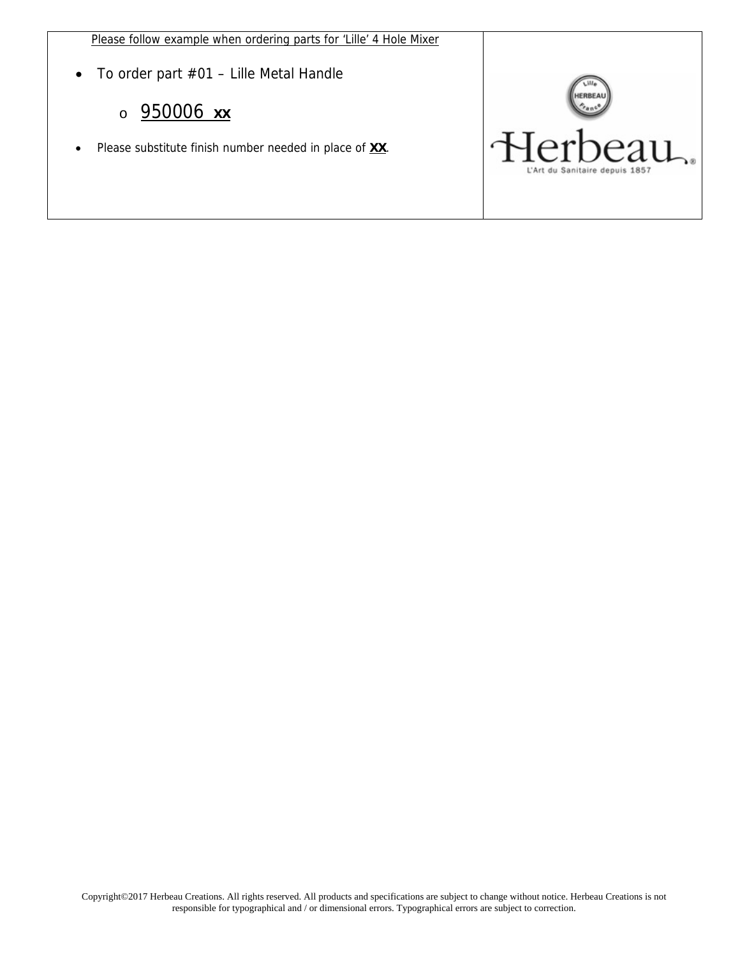Please follow example when ordering parts for 'Lille' 4 Hole Mixer

To order part #01 – Lille Metal Handle

## o 950006 **XX**

Please substitute finish number needed in place of **XX**.

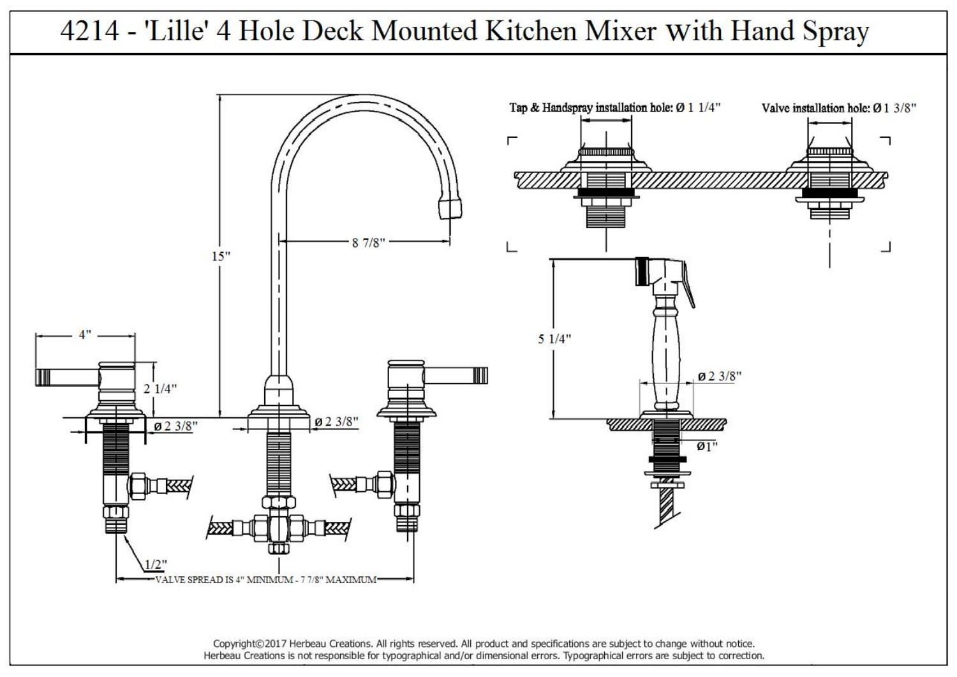

Copyright©2017 Herbeau Creations. All rights reserved. All product and specifications are subject to change without notice. Herbeau Creations is not responsible for typographical and/or dimensional errors. Typographical errors are subject to correction.